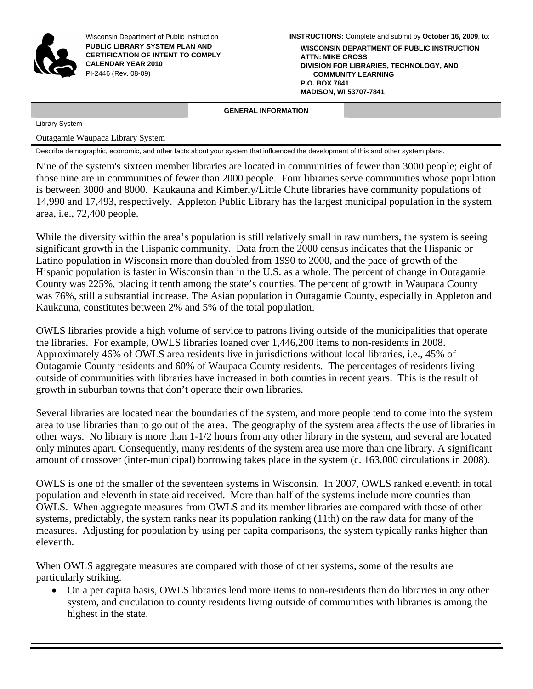

Wisconsin Department of Public Instruction **PUBLIC LIBRARY SYSTEM PLAN AND CERTIFICATION OF INTENT TO COMPLY CALENDAR YEAR 2010**  PI-2446 (Rev. 08-09)

**INSTRUCTIONS:** Complete and submit by **October 16, 2009**, to:

**WISCONSIN DEPARTMENT OF PUBLIC INSTRUCTION ATTN: MIKE CROSS DIVISION FOR LIBRARIES, TECHNOLOGY, AND COMMUNITY LEARNING P.O. BOX 7841 MADISON, WI 53707-7841**

### **GENERAL INFORMATION**

Library System

Outagamie Waupaca Library System

Describe demographic, economic, and other facts about your system that influenced the development of this and other system plans.

Nine of the system's sixteen member libraries are located in communities of fewer than 3000 people; eight of those nine are in communities of fewer than 2000 people. Four libraries serve communities whose population is between 3000 and 8000. Kaukauna and Kimberly/Little Chute libraries have community populations of 14,990 and 17,493, respectively. Appleton Public Library has the largest municipal population in the system area, i.e., 72,400 people.

While the diversity within the area's population is still relatively small in raw numbers, the system is seeing significant growth in the Hispanic community. Data from the 2000 census indicates that the Hispanic or Latino population in Wisconsin more than doubled from 1990 to 2000, and the pace of growth of the Hispanic population is faster in Wisconsin than in the U.S. as a whole. The percent of change in Outagamie County was 225%, placing it tenth among the state's counties. The percent of growth in Waupaca County was 76%, still a substantial increase. The Asian population in Outagamie County, especially in Appleton and Kaukauna, constitutes between 2% and 5% of the total population.

OWLS libraries provide a high volume of service to patrons living outside of the municipalities that operate the libraries. For example, OWLS libraries loaned over 1,446,200 items to non-residents in 2008. Approximately 46% of OWLS area residents live in jurisdictions without local libraries, i.e., 45% of Outagamie County residents and 60% of Waupaca County residents. The percentages of residents living outside of communities with libraries have increased in both counties in recent years. This is the result of growth in suburban towns that don't operate their own libraries.

Several libraries are located near the boundaries of the system, and more people tend to come into the system area to use libraries than to go out of the area. The geography of the system area affects the use of libraries in other ways. No library is more than 1-1/2 hours from any other library in the system, and several are located only minutes apart. Consequently, many residents of the system area use more than one library. A significant amount of crossover (inter-municipal) borrowing takes place in the system (c. 163,000 circulations in 2008).

OWLS is one of the smaller of the seventeen systems in Wisconsin. In 2007, OWLS ranked eleventh in total population and eleventh in state aid received. More than half of the systems include more counties than OWLS. When aggregate measures from OWLS and its member libraries are compared with those of other systems, predictably, the system ranks near its population ranking (11th) on the raw data for many of the measures. Adjusting for population by using per capita comparisons, the system typically ranks higher than eleventh.

When OWLS aggregate measures are compared with those of other systems, some of the results are particularly striking.

• On a per capita basis, OWLS libraries lend more items to non-residents than do libraries in any other system, and circulation to county residents living outside of communities with libraries is among the highest in the state.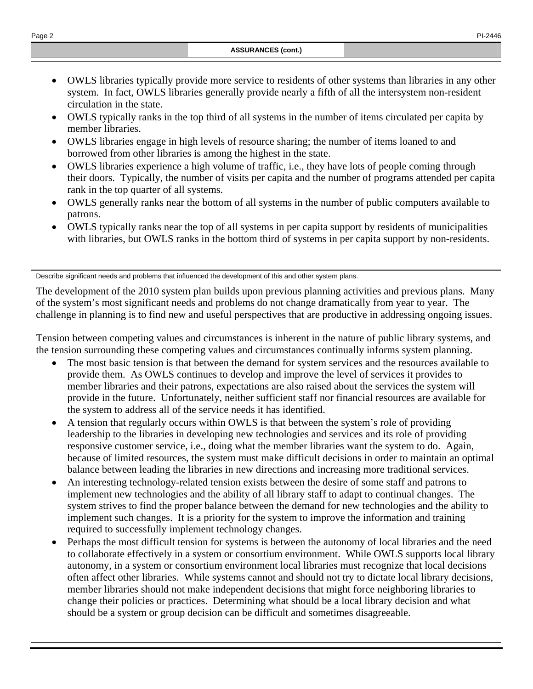- OWLS libraries typically provide more service to residents of other systems than libraries in any other system. In fact, OWLS libraries generally provide nearly a fifth of all the intersystem non-resident circulation in the state.
- OWLS typically ranks in the top third of all systems in the number of items circulated per capita by member libraries.
- OWLS libraries engage in high levels of resource sharing; the number of items loaned to and borrowed from other libraries is among the highest in the state.
- OWLS libraries experience a high volume of traffic, i.e., they have lots of people coming through their doors. Typically, the number of visits per capita and the number of programs attended per capita rank in the top quarter of all systems.
- OWLS generally ranks near the bottom of all systems in the number of public computers available to patrons.
- OWLS typically ranks near the top of all systems in per capita support by residents of municipalities with libraries, but OWLS ranks in the bottom third of systems in per capita support by non-residents.

Describe significant needs and problems that influenced the development of this and other system plans.

The development of the 2010 system plan builds upon previous planning activities and previous plans. Many of the system's most significant needs and problems do not change dramatically from year to year. The challenge in planning is to find new and useful perspectives that are productive in addressing ongoing issues.

Tension between competing values and circumstances is inherent in the nature of public library systems, and the tension surrounding these competing values and circumstances continually informs system planning.

- The most basic tension is that between the demand for system services and the resources available to provide them. As OWLS continues to develop and improve the level of services it provides to member libraries and their patrons, expectations are also raised about the services the system will provide in the future. Unfortunately, neither sufficient staff nor financial resources are available for the system to address all of the service needs it has identified.
- A tension that regularly occurs within OWLS is that between the system's role of providing leadership to the libraries in developing new technologies and services and its role of providing responsive customer service, i.e., doing what the member libraries want the system to do. Again, because of limited resources, the system must make difficult decisions in order to maintain an optimal balance between leading the libraries in new directions and increasing more traditional services.
- An interesting technology-related tension exists between the desire of some staff and patrons to implement new technologies and the ability of all library staff to adapt to continual changes. The system strives to find the proper balance between the demand for new technologies and the ability to implement such changes. It is a priority for the system to improve the information and training required to successfully implement technology changes.
- Perhaps the most difficult tension for systems is between the autonomy of local libraries and the need to collaborate effectively in a system or consortium environment. While OWLS supports local library autonomy, in a system or consortium environment local libraries must recognize that local decisions often affect other libraries. While systems cannot and should not try to dictate local library decisions, member libraries should not make independent decisions that might force neighboring libraries to change their policies or practices. Determining what should be a local library decision and what should be a system or group decision can be difficult and sometimes disagreeable.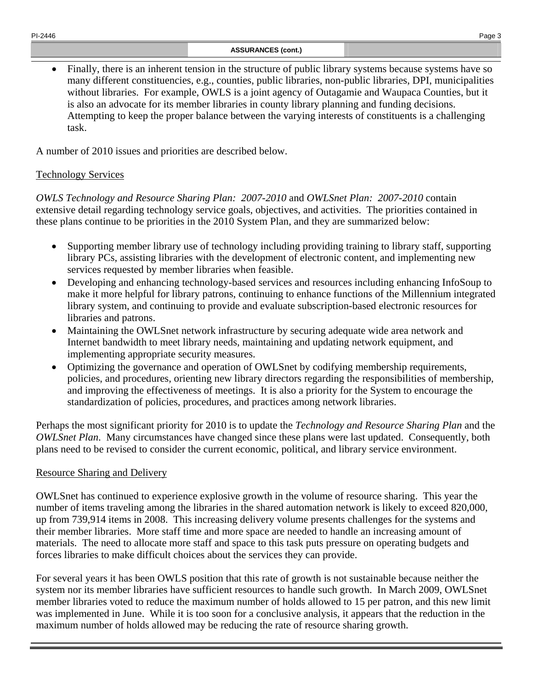• Finally, there is an inherent tension in the structure of public library systems because systems have so many different constituencies, e.g., counties, public libraries, non-public libraries, DPI, municipalities without libraries. For example, OWLS is a joint agency of Outagamie and Waupaca Counties, but it is also an advocate for its member libraries in county library planning and funding decisions. Attempting to keep the proper balance between the varying interests of constituents is a challenging task.

A number of 2010 issues and priorities are described below.

# Technology Services

*OWLS Technology and Resource Sharing Plan: 2007-2010* and *OWLSnet Plan: 2007-2010* contain extensive detail regarding technology service goals, objectives, and activities. The priorities contained in these plans continue to be priorities in the 2010 System Plan, and they are summarized below:

- Supporting member library use of technology including providing training to library staff, supporting library PCs, assisting libraries with the development of electronic content, and implementing new services requested by member libraries when feasible.
- Developing and enhancing technology-based services and resources including enhancing InfoSoup to make it more helpful for library patrons, continuing to enhance functions of the Millennium integrated library system, and continuing to provide and evaluate subscription-based electronic resources for libraries and patrons.
- Maintaining the OWLS net network infrastructure by securing adequate wide area network and Internet bandwidth to meet library needs, maintaining and updating network equipment, and implementing appropriate security measures.
- Optimizing the governance and operation of OWLS net by codifying membership requirements, policies, and procedures, orienting new library directors regarding the responsibilities of membership, and improving the effectiveness of meetings. It is also a priority for the System to encourage the standardization of policies, procedures, and practices among network libraries.

Perhaps the most significant priority for 2010 is to update the *Technology and Resource Sharing Plan* and the *OWLSnet Plan*. Many circumstances have changed since these plans were last updated. Consequently, both plans need to be revised to consider the current economic, political, and library service environment.

# Resource Sharing and Delivery

OWLSnet has continued to experience explosive growth in the volume of resource sharing. This year the number of items traveling among the libraries in the shared automation network is likely to exceed 820,000, up from 739,914 items in 2008. This increasing delivery volume presents challenges for the systems and their member libraries. More staff time and more space are needed to handle an increasing amount of materials. The need to allocate more staff and space to this task puts pressure on operating budgets and forces libraries to make difficult choices about the services they can provide.

For several years it has been OWLS position that this rate of growth is not sustainable because neither the system nor its member libraries have sufficient resources to handle such growth. In March 2009, OWLSnet member libraries voted to reduce the maximum number of holds allowed to 15 per patron, and this new limit was implemented in June. While it is too soon for a conclusive analysis, it appears that the reduction in the maximum number of holds allowed may be reducing the rate of resource sharing growth.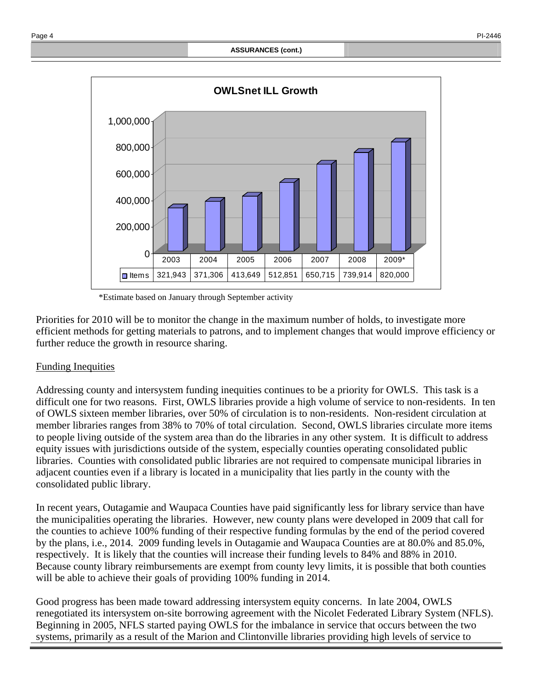

\*Estimate based on January through September activity

Priorities for 2010 will be to monitor the change in the maximum number of holds, to investigate more efficient methods for getting materials to patrons, and to implement changes that would improve efficiency or further reduce the growth in resource sharing.

## Funding Inequities

Addressing county and intersystem funding inequities continues to be a priority for OWLS. This task is a difficult one for two reasons. First, OWLS libraries provide a high volume of service to non-residents. In ten of OWLS sixteen member libraries, over 50% of circulation is to non-residents. Non-resident circulation at member libraries ranges from 38% to 70% of total circulation. Second, OWLS libraries circulate more items to people living outside of the system area than do the libraries in any other system. It is difficult to address equity issues with jurisdictions outside of the system, especially counties operating consolidated public libraries. Counties with consolidated public libraries are not required to compensate municipal libraries in adjacent counties even if a library is located in a municipality that lies partly in the county with the consolidated public library.

In recent years, Outagamie and Waupaca Counties have paid significantly less for library service than have the municipalities operating the libraries. However, new county plans were developed in 2009 that call for the counties to achieve 100% funding of their respective funding formulas by the end of the period covered by the plans, i.e., 2014. 2009 funding levels in Outagamie and Waupaca Counties are at 80.0% and 85.0%, respectively. It is likely that the counties will increase their funding levels to 84% and 88% in 2010. Because county library reimbursements are exempt from county levy limits, it is possible that both counties will be able to achieve their goals of providing 100% funding in 2014.

Good progress has been made toward addressing intersystem equity concerns. In late 2004, OWLS renegotiated its intersystem on-site borrowing agreement with the Nicolet Federated Library System (NFLS). Beginning in 2005, NFLS started paying OWLS for the imbalance in service that occurs between the two systems, primarily as a result of the Marion and Clintonville libraries providing high levels of service to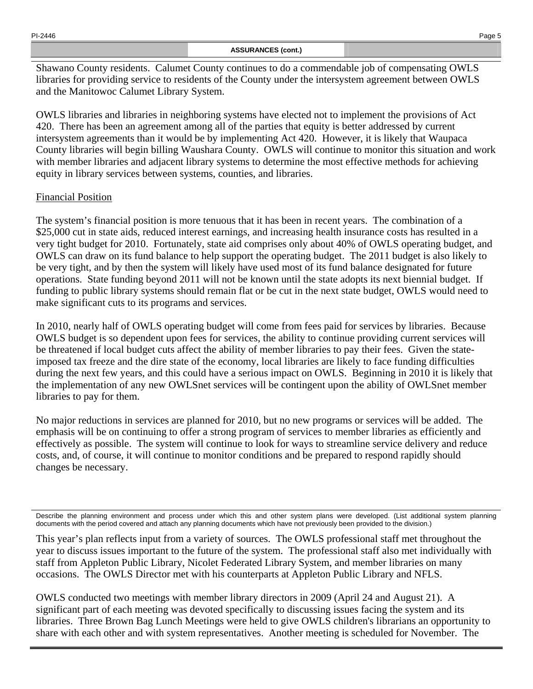### **ASSURANCES (cont.)**

Shawano County residents. Calumet County continues to do a commendable job of compensating OWLS libraries for providing service to residents of the County under the intersystem agreement between OWLS and the Manitowoc Calumet Library System.

OWLS libraries and libraries in neighboring systems have elected not to implement the provisions of Act 420. There has been an agreement among all of the parties that equity is better addressed by current intersystem agreements than it would be by implementing Act 420. However, it is likely that Waupaca County libraries will begin billing Waushara County. OWLS will continue to monitor this situation and work with member libraries and adjacent library systems to determine the most effective methods for achieving equity in library services between systems, counties, and libraries.

# Financial Position

The system's financial position is more tenuous that it has been in recent years. The combination of a \$25,000 cut in state aids, reduced interest earnings, and increasing health insurance costs has resulted in a very tight budget for 2010. Fortunately, state aid comprises only about 40% of OWLS operating budget, and OWLS can draw on its fund balance to help support the operating budget. The 2011 budget is also likely to be very tight, and by then the system will likely have used most of its fund balance designated for future operations. State funding beyond 2011 will not be known until the state adopts its next biennial budget. If funding to public library systems should remain flat or be cut in the next state budget, OWLS would need to make significant cuts to its programs and services.

In 2010, nearly half of OWLS operating budget will come from fees paid for services by libraries. Because OWLS budget is so dependent upon fees for services, the ability to continue providing current services will be threatened if local budget cuts affect the ability of member libraries to pay their fees. Given the stateimposed tax freeze and the dire state of the economy, local libraries are likely to face funding difficulties during the next few years, and this could have a serious impact on OWLS. Beginning in 2010 it is likely that the implementation of any new OWLSnet services will be contingent upon the ability of OWLSnet member libraries to pay for them.

No major reductions in services are planned for 2010, but no new programs or services will be added. The emphasis will be on continuing to offer a strong program of services to member libraries as efficiently and effectively as possible. The system will continue to look for ways to streamline service delivery and reduce costs, and, of course, it will continue to monitor conditions and be prepared to respond rapidly should changes be necessary.

This year's plan reflects input from a variety of sources. The OWLS professional staff met throughout the year to discuss issues important to the future of the system. The professional staff also met individually with staff from Appleton Public Library, Nicolet Federated Library System, and member libraries on many occasions. The OWLS Director met with his counterparts at Appleton Public Library and NFLS.

OWLS conducted two meetings with member library directors in 2009 (April 24 and August 21). A significant part of each meeting was devoted specifically to discussing issues facing the system and its libraries. Three Brown Bag Lunch Meetings were held to give OWLS children's librarians an opportunity to share with each other and with system representatives. Another meeting is scheduled for November. The

Describe the planning environment and process under which this and other system plans were developed. (List additional system planning documents with the period covered and attach any planning documents which have not previously been provided to the division.)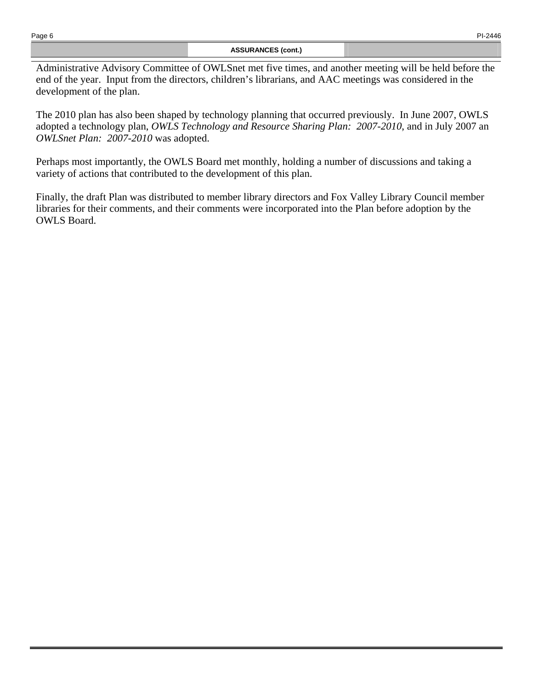Administrative Advisory Committee of OWLSnet met five times, and another meeting will be held before the end of the year. Input from the directors, children's librarians, and AAC meetings was considered in the development of the plan.

The 2010 plan has also been shaped by technology planning that occurred previously. In June 2007, OWLS adopted a technology plan, *OWLS Technology and Resource Sharing Plan: 2007-2010*, and in July 2007 an *OWLSnet Plan: 2007-2010* was adopted.

Perhaps most importantly, the OWLS Board met monthly, holding a number of discussions and taking a variety of actions that contributed to the development of this plan.

Finally, the draft Plan was distributed to member library directors and Fox Valley Library Council member libraries for their comments, and their comments were incorporated into the Plan before adoption by the OWLS Board.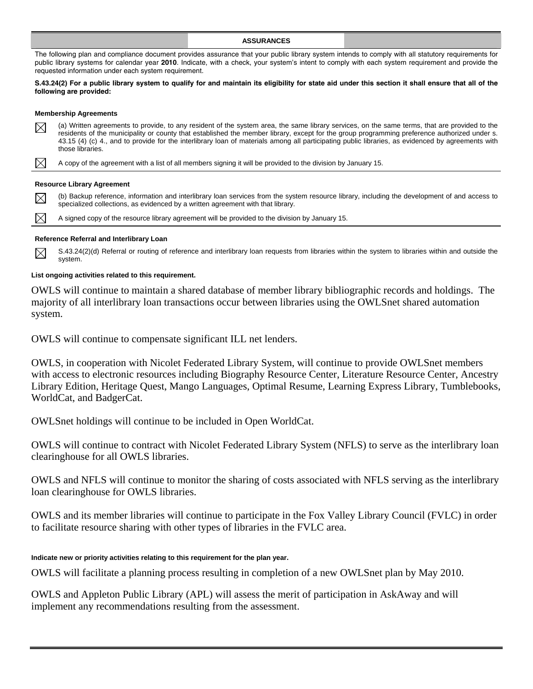#### **ASSURANCES**

The following plan and compliance document provides assurance that your public library system intends to comply with all statutory requirements for public library systems for calendar year **2010**. Indicate, with a check, your system's intent to comply with each system requirement and provide the requested information under each system requirement.

#### **S.43.24(2) For a public library system to qualify for and maintain its eligibility for state aid under this section it shall ensure that all of the following are provided:**

#### **Membership Agreements**

| $\boxtimes$                              | (a) Written agreements to provide, to any resident of the system area, the same library services, on the same terms, that are provided to the<br>residents of the municipality or county that established the member library, except for the group programming preference authorized under s.<br>43.15 (4) (c) 4., and to provide for the interlibrary loan of materials among all participating public libraries, as evidenced by agreements with<br>those libraries. |  |  |
|------------------------------------------|------------------------------------------------------------------------------------------------------------------------------------------------------------------------------------------------------------------------------------------------------------------------------------------------------------------------------------------------------------------------------------------------------------------------------------------------------------------------|--|--|
|                                          | A copy of the agreement with a list of all members signing it will be provided to the division by January 15.                                                                                                                                                                                                                                                                                                                                                          |  |  |
|                                          | <b>Resource Library Agreement</b>                                                                                                                                                                                                                                                                                                                                                                                                                                      |  |  |
| $\boxtimes$                              | (b) Backup reference, information and interlibrary loan services from the system resource library, including the development of and access to<br>specialized collections, as evidenced by a written agreement with that library.                                                                                                                                                                                                                                       |  |  |
|                                          | A signed copy of the resource library agreement will be provided to the division by January 15.                                                                                                                                                                                                                                                                                                                                                                        |  |  |
| Reference Referral and Interlibrary Loan |                                                                                                                                                                                                                                                                                                                                                                                                                                                                        |  |  |

 $\boxtimes$ S.43.24(2)(d) Referral or routing of reference and interlibrary loan requests from libraries within the system to libraries within and outside the system.

#### **List ongoing activities related to this requirement.**

OWLS will continue to maintain a shared database of member library bibliographic records and holdings. The majority of all interlibrary loan transactions occur between libraries using the OWLSnet shared automation system.

OWLS will continue to compensate significant ILL net lenders.

OWLS, in cooperation with Nicolet Federated Library System, will continue to provide OWLSnet members with access to electronic resources including Biography Resource Center, Literature Resource Center, Ancestry Library Edition, Heritage Quest, Mango Languages, Optimal Resume, Learning Express Library, Tumblebooks, WorldCat, and BadgerCat.

OWLSnet holdings will continue to be included in Open WorldCat.

OWLS will continue to contract with Nicolet Federated Library System (NFLS) to serve as the interlibrary loan clearinghouse for all OWLS libraries.

OWLS and NFLS will continue to monitor the sharing of costs associated with NFLS serving as the interlibrary loan clearinghouse for OWLS libraries.

OWLS and its member libraries will continue to participate in the Fox Valley Library Council (FVLC) in order to facilitate resource sharing with other types of libraries in the FVLC area.

#### **Indicate new or priority activities relating to this requirement for the plan year.**

OWLS will facilitate a planning process resulting in completion of a new OWLSnet plan by May 2010.

OWLS and Appleton Public Library (APL) will assess the merit of participation in AskAway and will implement any recommendations resulting from the assessment.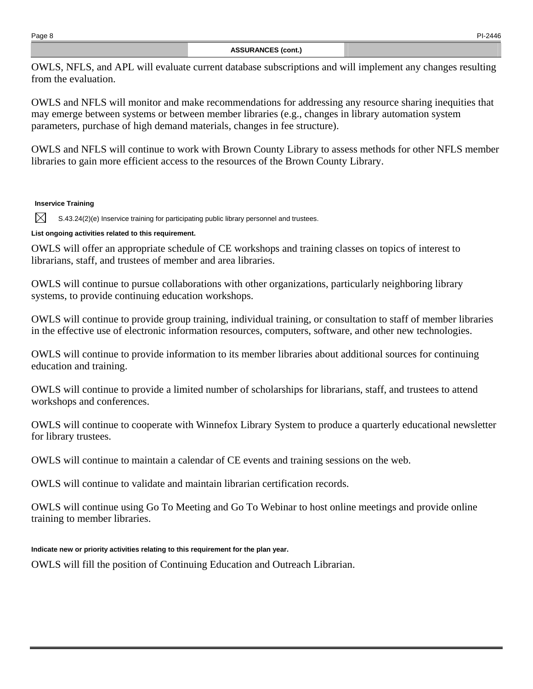OWLS, NFLS, and APL will evaluate current database subscriptions and will implement any changes resulting from the evaluation.

OWLS and NFLS will monitor and make recommendations for addressing any resource sharing inequities that may emerge between systems or between member libraries (e.g., changes in library automation system parameters, purchase of high demand materials, changes in fee structure).

OWLS and NFLS will continue to work with Brown County Library to assess methods for other NFLS member libraries to gain more efficient access to the resources of the Brown County Library.

## **Inservice Training**

M S.43.24(2)(e) Inservice training for participating public library personnel and trustees.

## **List ongoing activities related to this requirement.**

OWLS will offer an appropriate schedule of CE workshops and training classes on topics of interest to librarians, staff, and trustees of member and area libraries.

OWLS will continue to pursue collaborations with other organizations, particularly neighboring library systems, to provide continuing education workshops.

OWLS will continue to provide group training, individual training, or consultation to staff of member libraries in the effective use of electronic information resources, computers, software, and other new technologies.

OWLS will continue to provide information to its member libraries about additional sources for continuing education and training.

OWLS will continue to provide a limited number of scholarships for librarians, staff, and trustees to attend workshops and conferences.

OWLS will continue to cooperate with Winnefox Library System to produce a quarterly educational newsletter for library trustees.

OWLS will continue to maintain a calendar of CE events and training sessions on the web.

OWLS will continue to validate and maintain librarian certification records.

OWLS will continue using Go To Meeting and Go To Webinar to host online meetings and provide online training to member libraries.

## **Indicate new or priority activities relating to this requirement for the plan year.**

OWLS will fill the position of Continuing Education and Outreach Librarian.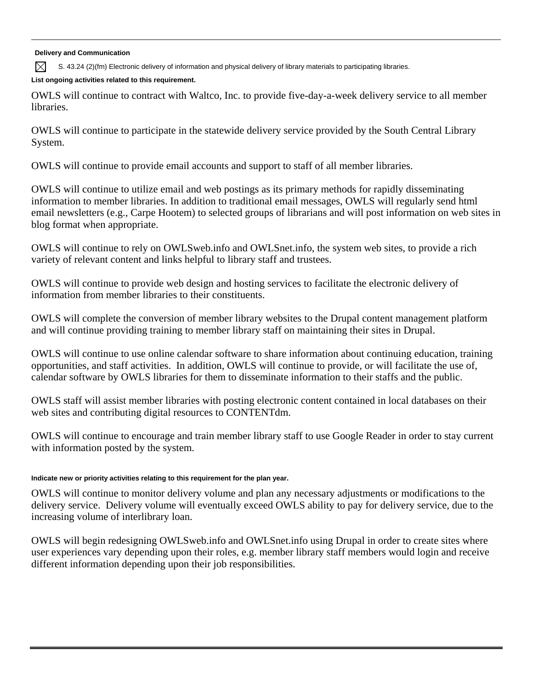**Delivery and Communication** 

 $\boxtimes$ S. 43.24 (2)(fm) Electronic delivery of information and physical delivery of library materials to participating libraries.

## **List ongoing activities related to this requirement.**

OWLS will continue to contract with Waltco, Inc. to provide five-day-a-week delivery service to all member **libraries** 

OWLS will continue to participate in the statewide delivery service provided by the South Central Library System.

OWLS will continue to provide email accounts and support to staff of all member libraries.

OWLS will continue to utilize email and web postings as its primary methods for rapidly disseminating information to member libraries. In addition to traditional email messages, OWLS will regularly send html email newsletters (e.g., Carpe Hootem) to selected groups of librarians and will post information on web sites in blog format when appropriate.

OWLS will continue to rely on OWLSweb.info and OWLSnet.info, the system web sites, to provide a rich variety of relevant content and links helpful to library staff and trustees.

OWLS will continue to provide web design and hosting services to facilitate the electronic delivery of information from member libraries to their constituents.

OWLS will complete the conversion of member library websites to the Drupal content management platform and will continue providing training to member library staff on maintaining their sites in Drupal.

OWLS will continue to use online calendar software to share information about continuing education, training opportunities, and staff activities. In addition, OWLS will continue to provide, or will facilitate the use of, calendar software by OWLS libraries for them to disseminate information to their staffs and the public.

OWLS staff will assist member libraries with posting electronic content contained in local databases on their web sites and contributing digital resources to CONTENTdm.

OWLS will continue to encourage and train member library staff to use Google Reader in order to stay current with information posted by the system.

## **Indicate new or priority activities relating to this requirement for the plan year.**

OWLS will continue to monitor delivery volume and plan any necessary adjustments or modifications to the delivery service. Delivery volume will eventually exceed OWLS ability to pay for delivery service, due to the increasing volume of interlibrary loan.

OWLS will begin redesigning OWLSweb.info and OWLSnet.info using Drupal in order to create sites where user experiences vary depending upon their roles, e.g. member library staff members would login and receive different information depending upon their job responsibilities.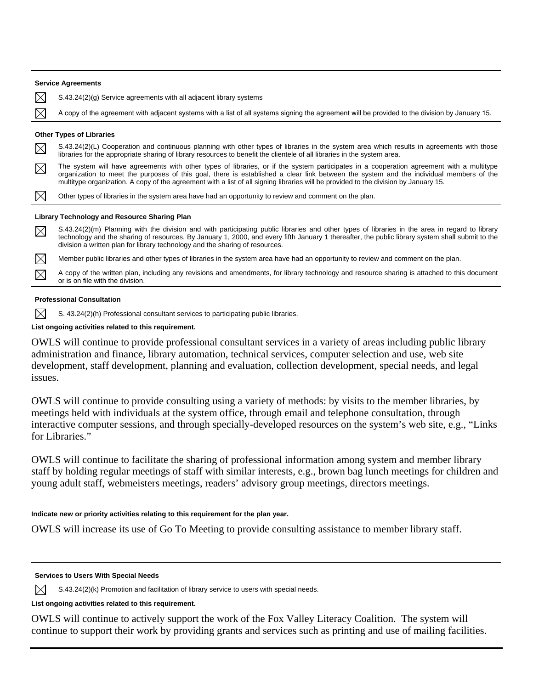|             | <b>Service Agreements</b>                                                                                                                                                                                                                                                                                                                                                                                                  |
|-------------|----------------------------------------------------------------------------------------------------------------------------------------------------------------------------------------------------------------------------------------------------------------------------------------------------------------------------------------------------------------------------------------------------------------------------|
| $\boxtimes$ | $S.43.24(2)(g)$ Service agreements with all adjacent library systems                                                                                                                                                                                                                                                                                                                                                       |
| $\boxtimes$ | A copy of the agreement with adjacent systems with a list of all systems signing the agreement will be provided to the division by January 15.                                                                                                                                                                                                                                                                             |
|             | <b>Other Types of Libraries</b>                                                                                                                                                                                                                                                                                                                                                                                            |
| $\boxtimes$ | S.43.24(2)(L) Cooperation and continuous planning with other types of libraries in the system area which results in agreements with those<br>libraries for the appropriate sharing of library resources to benefit the clientele of all libraries in the system area.                                                                                                                                                      |
| $\boxtimes$ | The system will have agreements with other types of libraries, or if the system participates in a cooperation agreement with a multitype<br>organization to meet the purposes of this goal, there is established a clear link between the system and the individual members of the<br>multitype organization. A copy of the agreement with a list of all signing libraries will be provided to the division by January 15. |
| $\boxtimes$ | Other types of libraries in the system area have had an opportunity to review and comment on the plan.                                                                                                                                                                                                                                                                                                                     |
|             | Library Technology and Resource Sharing Plan                                                                                                                                                                                                                                                                                                                                                                               |
| $\boxtimes$ | S.43.24(2)(m) Planning with the division and with participating public libraries and other types of libraries in the area in regard to library<br>technology and the sharing of resources. By January 1, 2000, and every fifth January 1 thereafter, the public library system shall submit to the<br>division a written plan for library technology and the sharing of resources.                                         |
| ⊠           | Member public libraries and other types of libraries in the system area have had an opportunity to review and comment on the plan.                                                                                                                                                                                                                                                                                         |

A copy of the written plan, including any revisions and amendments, for library technology and resource sharing is attached to this document  $\boxtimes$ or is on file with the division.

### **Professional Consultation**

 $\boxtimes$ S. 43.24(2)(h) Professional consultant services to participating public libraries.

### **List ongoing activities related to this requirement.**

OWLS will continue to provide professional consultant services in a variety of areas including public library administration and finance, library automation, technical services, computer selection and use, web site development, staff development, planning and evaluation, collection development, special needs, and legal issues.

OWLS will continue to provide consulting using a variety of methods: by visits to the member libraries, by meetings held with individuals at the system office, through email and telephone consultation, through interactive computer sessions, and through specially-developed resources on the system's web site, e.g., "Links for Libraries."

OWLS will continue to facilitate the sharing of professional information among system and member library staff by holding regular meetings of staff with similar interests, e.g., brown bag lunch meetings for children and young adult staff, webmeisters meetings, readers' advisory group meetings, directors meetings.

### **Indicate new or priority activities relating to this requirement for the plan year.**

OWLS will increase its use of Go To Meeting to provide consulting assistance to member library staff.

#### **Services to Users With Special Needs**

 $\boxtimes$ S.43.24(2)(k) Promotion and facilitation of library service to users with special needs.

### **List ongoing activities related to this requirement.**

OWLS will continue to actively support the work of the Fox Valley Literacy Coalition. The system will continue to support their work by providing grants and services such as printing and use of mailing facilities.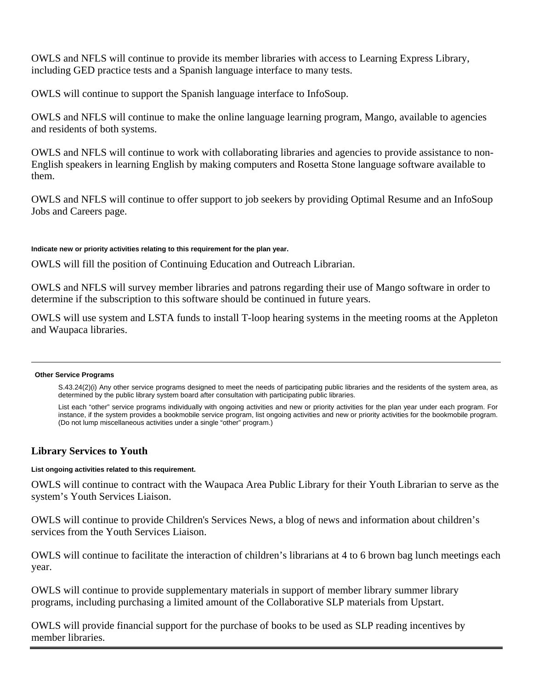OWLS and NFLS will continue to provide its member libraries with access to Learning Express Library, including GED practice tests and a Spanish language interface to many tests.

OWLS will continue to support the Spanish language interface to InfoSoup.

OWLS and NFLS will continue to make the online language learning program, Mango, available to agencies and residents of both systems.

OWLS and NFLS will continue to work with collaborating libraries and agencies to provide assistance to non-English speakers in learning English by making computers and Rosetta Stone language software available to them.

OWLS and NFLS will continue to offer support to job seekers by providing Optimal Resume and an InfoSoup Jobs and Careers page.

## **Indicate new or priority activities relating to this requirement for the plan year.**

OWLS will fill the position of Continuing Education and Outreach Librarian.

OWLS and NFLS will survey member libraries and patrons regarding their use of Mango software in order to determine if the subscription to this software should be continued in future years.

OWLS will use system and LSTA funds to install T-loop hearing systems in the meeting rooms at the Appleton and Waupaca libraries.

#### **Other Service Programs**

S.43.24(2)(i) Any other service programs designed to meet the needs of participating public libraries and the residents of the system area, as determined by the public library system board after consultation with participating public libraries.

 List each "other" service programs individually with ongoing activities and new or priority activities for the plan year under each program. For instance, if the system provides a bookmobile service program, list ongoing activities and new or priority activities for the bookmobile program. (Do not lump miscellaneous activities under a single "other" program.)

# **Library Services to Youth**

### **List ongoing activities related to this requirement.**

OWLS will continue to contract with the Waupaca Area Public Library for their Youth Librarian to serve as the system's Youth Services Liaison.

OWLS will continue to provide Children's Services News, a blog of news and information about children's services from the Youth Services Liaison.

OWLS will continue to facilitate the interaction of children's librarians at 4 to 6 brown bag lunch meetings each year.

OWLS will continue to provide supplementary materials in support of member library summer library programs, including purchasing a limited amount of the Collaborative SLP materials from Upstart.

OWLS will provide financial support for the purchase of books to be used as SLP reading incentives by member libraries.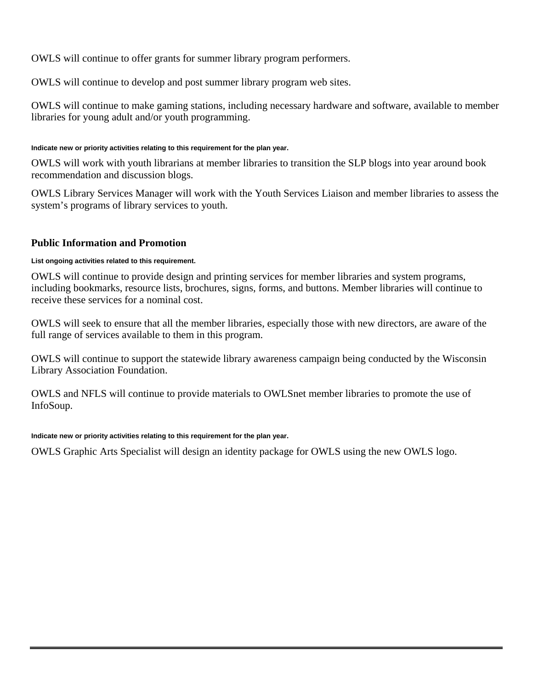OWLS will continue to offer grants for summer library program performers.

OWLS will continue to develop and post summer library program web sites.

OWLS will continue to make gaming stations, including necessary hardware and software, available to member libraries for young adult and/or youth programming.

## **Indicate new or priority activities relating to this requirement for the plan year.**

OWLS will work with youth librarians at member libraries to transition the SLP blogs into year around book recommendation and discussion blogs.

OWLS Library Services Manager will work with the Youth Services Liaison and member libraries to assess the system's programs of library services to youth.

# **Public Information and Promotion**

## **List ongoing activities related to this requirement.**

OWLS will continue to provide design and printing services for member libraries and system programs, including bookmarks, resource lists, brochures, signs, forms, and buttons. Member libraries will continue to receive these services for a nominal cost.

OWLS will seek to ensure that all the member libraries, especially those with new directors, are aware of the full range of services available to them in this program.

OWLS will continue to support the statewide library awareness campaign being conducted by the Wisconsin Library Association Foundation.

OWLS and NFLS will continue to provide materials to OWLSnet member libraries to promote the use of InfoSoup.

### **Indicate new or priority activities relating to this requirement for the plan year.**

OWLS Graphic Arts Specialist will design an identity package for OWLS using the new OWLS logo.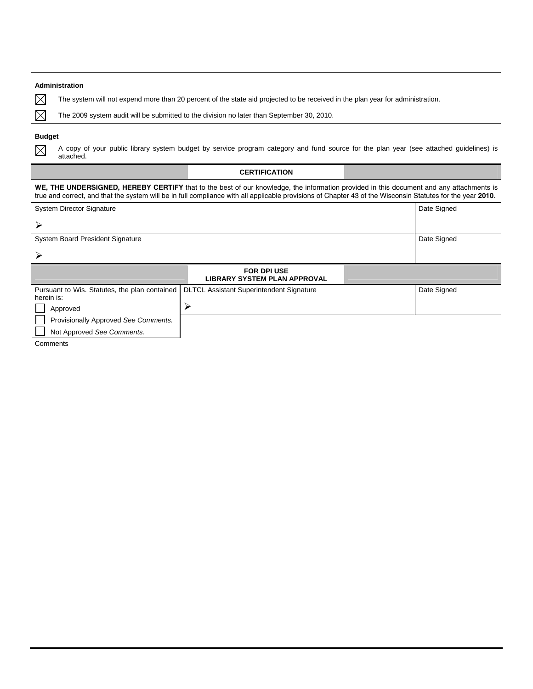#### **Administration**

 $\boxtimes$  $\boxtimes$ 

The system will not expend more than 20 percent of the state aid projected to be received in the plan year for administration.

The 2009 system audit will be submitted to the division no later than September 30, 2010.

### **Budget**

 $\boxtimes$ 

A copy of your public library system budget by service program category and fund source for the plan year (see attached guidelines) is attached.

|                                                                                                                                                                                                                                                                                                       | <b>CERTIFICATION</b>                                      |             |  |  |
|-------------------------------------------------------------------------------------------------------------------------------------------------------------------------------------------------------------------------------------------------------------------------------------------------------|-----------------------------------------------------------|-------------|--|--|
| WE, THE UNDERSIGNED, HEREBY CERTIFY that to the best of our knowledge, the information provided in this document and any attachments is<br>true and correct, and that the system will be in full compliance with all applicable provisions of Chapter 43 of the Wisconsin Statutes for the year 2010. |                                                           |             |  |  |
| <b>System Director Signature</b>                                                                                                                                                                                                                                                                      | Date Signed                                               |             |  |  |
| ≻                                                                                                                                                                                                                                                                                                     |                                                           |             |  |  |
| <b>System Board President Signature</b>                                                                                                                                                                                                                                                               | Date Signed                                               |             |  |  |
| $\blacktriangleright$                                                                                                                                                                                                                                                                                 |                                                           |             |  |  |
|                                                                                                                                                                                                                                                                                                       | <b>FOR DPI USE</b><br><b>LIBRARY SYSTEM PLAN APPROVAL</b> |             |  |  |
| Pursuant to Wis. Statutes, the plan contained<br>herein is:                                                                                                                                                                                                                                           | <b>DLTCL Assistant Superintendent Signature</b>           | Date Signed |  |  |
| Approved                                                                                                                                                                                                                                                                                              | ⋗                                                         |             |  |  |
| Provisionally Approved See Comments.                                                                                                                                                                                                                                                                  |                                                           |             |  |  |
| Not Approved See Comments.                                                                                                                                                                                                                                                                            |                                                           |             |  |  |

Comments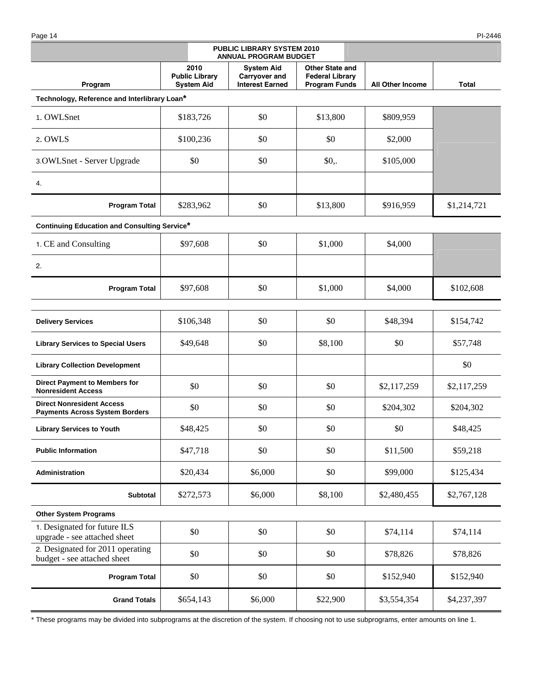Page 14 PI-2446

| PUBLIC LIBRARY SYSTEM 2010<br><b>ANNUAL PROGRAM BUDGET</b>                |                                                    |                                                                     |                                                                          |                         |             |
|---------------------------------------------------------------------------|----------------------------------------------------|---------------------------------------------------------------------|--------------------------------------------------------------------------|-------------------------|-------------|
| Program                                                                   | 2010<br><b>Public Library</b><br><b>System Aid</b> | <b>System Aid</b><br><b>Carryover and</b><br><b>Interest Earned</b> | <b>Other State and</b><br><b>Federal Library</b><br><b>Program Funds</b> | <b>All Other Income</b> | Total       |
| Technology, Reference and Interlibrary Loan*                              |                                                    |                                                                     |                                                                          |                         |             |
| 1. OWLSnet                                                                | \$183,726                                          | \$0                                                                 | \$13,800                                                                 | \$809,959               |             |
| 2. OWLS                                                                   | \$100,236                                          | \$0                                                                 | \$0                                                                      | \$2,000                 |             |
| 3. OWLSnet - Server Upgrade                                               | \$0                                                | \$0                                                                 | $$0,$ .                                                                  | \$105,000               |             |
| 4.                                                                        |                                                    |                                                                     |                                                                          |                         |             |
| <b>Program Total</b>                                                      | \$283,962                                          | \$0                                                                 | \$13,800                                                                 | \$916,959               | \$1,214,721 |
| <b>Continuing Education and Consulting Service*</b>                       |                                                    |                                                                     |                                                                          |                         |             |
| 1. CE and Consulting                                                      | \$97,608                                           | \$0                                                                 | \$1,000                                                                  | \$4,000                 |             |
| 2.                                                                        |                                                    |                                                                     |                                                                          |                         |             |
| <b>Program Total</b>                                                      | \$97,608                                           | \$0                                                                 | \$1,000                                                                  | \$4,000                 | \$102,608   |
| <b>Delivery Services</b>                                                  | \$106,348                                          | \$0                                                                 | \$0                                                                      | \$48,394                | \$154,742   |
| <b>Library Services to Special Users</b>                                  | \$49,648                                           | \$0                                                                 | \$8,100                                                                  | \$0                     | \$57,748    |
| <b>Library Collection Development</b>                                     |                                                    |                                                                     |                                                                          |                         | \$0         |
| <b>Direct Payment to Members for</b><br><b>Nonresident Access</b>         | \$0                                                | \$0                                                                 | \$0                                                                      | \$2,117,259             | \$2,117,259 |
| <b>Direct Nonresident Access</b><br><b>Payments Across System Borders</b> | \$0                                                | \$0                                                                 | \$0                                                                      | \$204,302               | \$204,302   |
| <b>Library Services to Youth</b>                                          | \$48,425                                           | \$0                                                                 | \$0                                                                      | \$0                     | \$48,425    |
| <b>Public Information</b>                                                 | \$47,718                                           | \$0                                                                 | \$0                                                                      | \$11,500                | \$59,218    |
| Administration                                                            | \$20,434                                           | \$6,000                                                             | \$0                                                                      | \$99,000                | \$125,434   |
| Subtotal                                                                  | \$272,573                                          | \$6,000                                                             | \$8,100                                                                  | \$2,480,455             | \$2,767,128 |
| <b>Other System Programs</b>                                              |                                                    |                                                                     |                                                                          |                         |             |
| 1. Designated for future ILS<br>upgrade - see attached sheet              | \$0                                                | \$0                                                                 | \$0                                                                      | \$74,114                | \$74,114    |
| 2. Designated for 2011 operating<br>budget - see attached sheet           | \$0                                                | \$0                                                                 | \$0                                                                      | \$78,826                | \$78,826    |
| <b>Program Total</b>                                                      | \$0                                                | \$0                                                                 | \$0                                                                      | \$152,940               | \$152,940   |
| <b>Grand Totals</b>                                                       | \$654,143                                          | \$6,000                                                             | \$22,900                                                                 | \$3,554,354             | \$4,237,397 |

\* These programs may be divided into subprograms at the discretion of the system. If choosing not to use subprograms, enter amounts on line 1.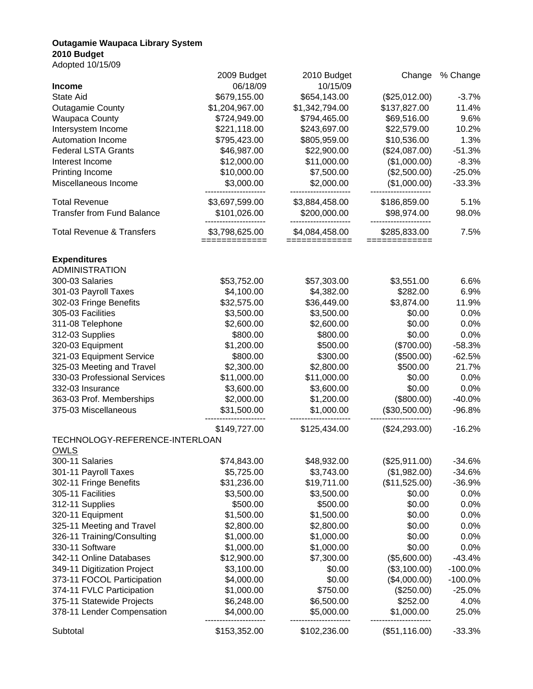### **Outagamie Waupaca Library System 2010 Budget**

Adopted 10/15/09

|                                                  | 2009 Budget                     | 2010 Budget                  | Change                     | % Change     |
|--------------------------------------------------|---------------------------------|------------------------------|----------------------------|--------------|
| <b>Income</b>                                    | 06/18/09                        | 10/15/09                     |                            |              |
| State Aid                                        | \$679,155.00                    | \$654,143.00                 | (\$25,012.00)              | $-3.7%$      |
| <b>Outagamie County</b>                          | \$1,204,967.00                  | \$1,342,794.00               | \$137,827.00               | 11.4%        |
| <b>Waupaca County</b>                            | \$724,949.00                    | \$794,465.00                 | \$69,516.00                | 9.6%         |
| Intersystem Income                               | \$221,118.00                    | \$243,697.00                 | \$22,579.00                | 10.2%        |
| Automation Income                                | \$795,423.00                    | \$805,959.00                 | \$10,536.00                | 1.3%         |
| <b>Federal LSTA Grants</b>                       | \$46,987.00                     | \$22,900.00                  | (\$24,087.00)              | $-51.3%$     |
| Interest Income                                  | \$12,000.00                     | \$11,000.00                  | (\$1,000.00)               | $-8.3%$      |
| Printing Income                                  | \$10,000.00                     | \$7,500.00                   | (\$2,500.00)               | $-25.0%$     |
| Miscellaneous Income                             | \$3,000.00                      | \$2,000.00                   | (\$1,000.00)               | $-33.3%$     |
| <b>Total Revenue</b>                             | \$3,697,599.00                  | \$3,884,458.00               | \$186,859.00               | 5.1%         |
| <b>Transfer from Fund Balance</b>                | \$101,026.00                    | \$200,000.00                 | \$98,974.00                | 98.0%        |
| <b>Total Revenue &amp; Transfers</b>             | \$3,798,625.00<br>============= | \$4,084,458.00<br>========== | \$285,833.00<br>========== | 7.5%         |
| <b>Expenditures</b>                              |                                 |                              |                            |              |
| <b>ADMINISTRATION</b>                            |                                 |                              |                            |              |
| 300-03 Salaries                                  | \$53,752.00                     | \$57,303.00                  | \$3,551.00                 | 6.6%         |
| 301-03 Payroll Taxes                             | \$4,100.00                      | \$4,382.00                   | \$282.00                   | 6.9%         |
| 302-03 Fringe Benefits                           | \$32,575.00                     | \$36,449.00                  | \$3,874.00                 | 11.9%        |
| 305-03 Facilities                                | \$3,500.00                      | \$3,500.00                   | \$0.00                     | 0.0%         |
| 311-08 Telephone                                 | \$2,600.00                      | \$2,600.00                   | \$0.00                     | 0.0%         |
| 312-03 Supplies                                  | \$800.00                        | \$800.00                     | \$0.00                     | 0.0%         |
| 320-03 Equipment                                 | \$1,200.00                      | \$500.00                     | (\$700.00)                 | $-58.3%$     |
| 321-03 Equipment Service                         | \$800.00                        | \$300.00                     | (\$500.00)                 | $-62.5%$     |
| 325-03 Meeting and Travel                        | \$2,300.00                      | \$2,800.00                   | \$500.00                   | 21.7%        |
| 330-03 Professional Services                     | \$11,000.00                     | \$11,000.00                  | \$0.00                     | 0.0%         |
| 332-03 Insurance                                 | \$3,600.00                      | \$3,600.00                   | \$0.00                     | 0.0%         |
|                                                  |                                 |                              |                            |              |
| 363-03 Prof. Memberships<br>375-03 Miscellaneous | \$2,000.00                      | \$1,200.00                   | (\$800.00)                 | $-40.0%$     |
|                                                  | \$31,500.00                     | \$1,000.00                   | (\$30,500.00)              | $-96.8%$     |
| TECHNOLOGY-REFERENCE-INTERLOAN                   | \$149,727.00                    | \$125,434.00                 | (\$24,293.00)              | $-16.2%$     |
| <b>OWLS</b>                                      |                                 |                              |                            |              |
| 300-11 Salaries                                  | \$74,843.00                     | \$48,932.00                  | (\$25,911.00)              | $-34.6%$     |
| 301-11 Payroll Taxes                             | \$5,725.00                      | \$3,743.00                   | (\$1,982.00)               | $-34.6%$     |
| 302-11 Fringe Benefits                           | \$31,236.00                     | \$19,711.00                  | (\$11,525.00)              | $-36.9%$     |
| 305-11 Facilities                                | \$3,500.00                      | \$3,500.00                   | \$0.00                     | 0.0%         |
|                                                  |                                 |                              |                            |              |
| 312-11 Supplies                                  | \$500.00<br>\$1,500.00          | \$500.00                     | \$0.00                     | 0.0%<br>0.0% |
| 320-11 Equipment                                 |                                 | \$1,500.00                   | \$0.00                     |              |
| 325-11 Meeting and Travel                        | \$2,800.00                      | \$2,800.00                   | \$0.00                     | 0.0%         |
| 326-11 Training/Consulting                       | \$1,000.00                      | \$1,000.00                   | \$0.00                     | 0.0%         |
| 330-11 Software                                  | \$1,000.00                      | \$1,000.00                   | \$0.00                     | 0.0%         |
| 342-11 Online Databases                          | \$12,900.00                     | \$7,300.00                   | (\$5,600.00)               | $-43.4%$     |
| 349-11 Digitization Project                      | \$3,100.00                      | \$0.00                       | (\$3,100.00)               | $-100.0\%$   |
| 373-11 FOCOL Participation                       | \$4,000.00                      | \$0.00                       | (\$4,000.00)               | $-100.0\%$   |
| 374-11 FVLC Participation                        | \$1,000.00                      | \$750.00                     | $(\$250.00)$               | $-25.0%$     |
| 375-11 Statewide Projects                        | \$6,248.00                      | \$6,500.00                   | \$252.00                   | 4.0%         |
| 378-11 Lender Compensation                       | \$4,000.00                      | \$5,000.00                   | \$1,000.00                 | 25.0%        |
| Subtotal                                         | \$153,352.00                    | \$102,236.00                 | (\$51,116.00)              | $-33.3%$     |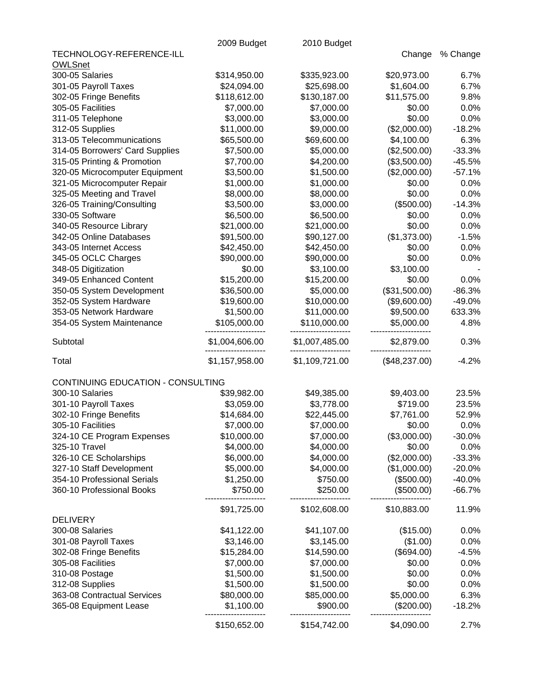|                                   | 2009 Budget               | 2010 Budget    |               |          |
|-----------------------------------|---------------------------|----------------|---------------|----------|
| TECHNOLOGY-REFERENCE-ILL          |                           |                | Change        | % Change |
| <b>OWLSnet</b>                    |                           |                |               |          |
| 300-05 Salaries                   | \$314,950.00              | \$335,923.00   | \$20,973.00   | 6.7%     |
| 301-05 Payroll Taxes              | \$24,094.00               | \$25,698.00    | \$1,604.00    | 6.7%     |
| 302-05 Fringe Benefits            | \$118,612.00              | \$130,187.00   | \$11,575.00   | 9.8%     |
| 305-05 Facilities                 | \$7,000.00                | \$7,000.00     | \$0.00        | 0.0%     |
| 311-05 Telephone                  | \$3,000.00                | \$3,000.00     | \$0.00        | 0.0%     |
| 312-05 Supplies                   | \$11,000.00               | \$9,000.00     | (\$2,000.00)  | $-18.2%$ |
| 313-05 Telecommunications         | \$65,500.00               | \$69,600.00    | \$4,100.00    | 6.3%     |
| 314-05 Borrowers' Card Supplies   | \$7,500.00                | \$5,000.00     | (\$2,500.00)  | $-33.3%$ |
| 315-05 Printing & Promotion       | \$7,700.00                | \$4,200.00     | (\$3,500.00)  | $-45.5%$ |
| 320-05 Microcomputer Equipment    | \$3,500.00                | \$1,500.00     | (\$2,000.00)  | $-57.1%$ |
| 321-05 Microcomputer Repair       | \$1,000.00                | \$1,000.00     | \$0.00        | 0.0%     |
| 325-05 Meeting and Travel         | \$8,000.00                | \$8,000.00     | \$0.00        | 0.0%     |
| 326-05 Training/Consulting        | \$3,500.00                | \$3,000.00     | (\$500.00)    | $-14.3%$ |
| 330-05 Software                   | \$6,500.00                | \$6,500.00     | \$0.00        | 0.0%     |
| 340-05 Resource Library           | \$21,000.00               | \$21,000.00    | \$0.00        | 0.0%     |
| 342-05 Online Databases           | \$91,500.00               | \$90,127.00    | (\$1,373.00)  | $-1.5%$  |
| 343-05 Internet Access            | \$42,450.00               | \$42,450.00    | \$0.00        | 0.0%     |
| 345-05 OCLC Charges               | \$90,000.00               | \$90,000.00    | \$0.00        | 0.0%     |
| 348-05 Digitization               | \$0.00                    | \$3,100.00     | \$3,100.00    |          |
| 349-05 Enhanced Content           | \$15,200.00               | \$15,200.00    | \$0.00        | 0.0%     |
| 350-05 System Development         | \$36,500.00               | \$5,000.00     | (\$31,500.00) | $-86.3%$ |
| 352-05 System Hardware            | \$19,600.00               | \$10,000.00    | (\$9,600.00)  | $-49.0%$ |
| 353-05 Network Hardware           | \$1,500.00                | \$11,000.00    | \$9,500.00    | 633.3%   |
| 354-05 System Maintenance         | \$105,000.00              | \$110,000.00   | \$5,000.00    | 4.8%     |
|                                   |                           |                |               |          |
| Subtotal                          | \$1,004,606.00            | \$1,007,485.00 | \$2,879.00    | 0.3%     |
| Total                             | \$1,157,958.00            | \$1,109,721.00 | (\$48,237.00) | $-4.2%$  |
| CONTINUING EDUCATION - CONSULTING |                           |                |               |          |
| 300-10 Salaries                   | \$39,982.00               | \$49,385.00    | \$9,403.00    | 23.5%    |
| 301-10 Payroll Taxes              | \$3,059.00                | \$3,778.00     | \$719.00      | 23.5%    |
| 302-10 Fringe Benefits            | \$14,684.00               | \$22,445.00    | \$7,761.00    | 52.9%    |
| 305-10 Facilities                 | \$7,000.00                | \$7,000.00     | \$0.00        | 0.0%     |
| 324-10 CE Program Expenses        | \$10,000.00               | \$7,000.00     | (\$3,000.00)  | $-30.0%$ |
| 325-10 Travel                     | \$4,000.00                | \$4,000.00     | \$0.00        | 0.0%     |
| 326-10 CE Scholarships            | \$6,000.00                | \$4,000.00     | (\$2,000.00)  | $-33.3%$ |
| 327-10 Staff Development          | \$5,000.00                | \$4,000.00     | (\$1,000.00)  | $-20.0%$ |
| 354-10 Professional Serials       | \$1,250.00                | \$750.00       | (\$500.00)    | $-40.0%$ |
| 360-10 Professional Books         | \$750.00                  | \$250.00       | (\$500.00)    | $-66.7%$ |
|                                   | \$91,725.00               | \$102,608.00   | \$10,883.00   | 11.9%    |
| <b>DELIVERY</b>                   |                           |                |               |          |
| 300-08 Salaries                   | \$41,122.00               | \$41,107.00    | (\$15.00)     | 0.0%     |
| 301-08 Payroll Taxes              | \$3,146.00                | \$3,145.00     | (\$1.00)      | 0.0%     |
| 302-08 Fringe Benefits            | \$15,284.00               | \$14,590.00    | (\$694.00)    | $-4.5%$  |
| 305-08 Facilities                 | \$7,000.00                | \$7,000.00     | \$0.00        | 0.0%     |
| 310-08 Postage                    | \$1,500.00                | \$1,500.00     | \$0.00        | 0.0%     |
| 312-08 Supplies                   | \$1,500.00                | \$1,500.00     | \$0.00        | 0.0%     |
| 363-08 Contractual Services       |                           | \$85,000.00    | \$5,000.00    | 6.3%     |
| 365-08 Equipment Lease            | \$80,000.00<br>\$1,100.00 | \$900.00       | (\$200.00)    | $-18.2%$ |
|                                   |                           |                |               |          |
|                                   | \$150,652.00              | \$154,742.00   | \$4,090.00    | 2.7%     |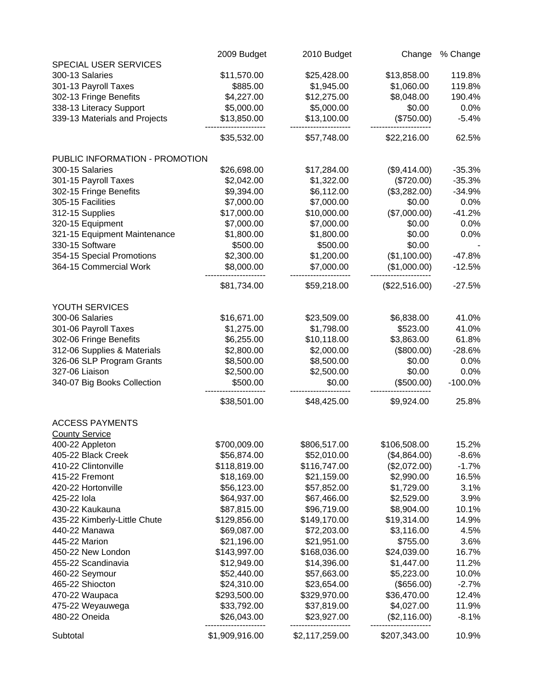|                                | 2009 Budget    | 2010 Budget    | Change        | % Change  |
|--------------------------------|----------------|----------------|---------------|-----------|
| SPECIAL USER SERVICES          |                |                |               |           |
| 300-13 Salaries                | \$11,570.00    | \$25,428.00    | \$13,858.00   | 119.8%    |
| 301-13 Payroll Taxes           | \$885.00       | \$1,945.00     | \$1,060.00    | 119.8%    |
| 302-13 Fringe Benefits         | \$4,227.00     | \$12,275.00    | \$8,048.00    | 190.4%    |
| 338-13 Literacy Support        | \$5,000.00     | \$5,000.00     | \$0.00        | 0.0%      |
| 339-13 Materials and Projects  | \$13,850.00    | \$13,100.00    | (\$750.00)    | $-5.4%$   |
|                                | \$35,532.00    | \$57,748.00    | \$22,216.00   | 62.5%     |
| PUBLIC INFORMATION - PROMOTION |                |                |               |           |
| 300-15 Salaries                | \$26,698.00    | \$17,284.00    | (\$9,414.00)  | $-35.3%$  |
| 301-15 Payroll Taxes           | \$2,042.00     | \$1,322.00     | (\$720.00)    | $-35.3%$  |
| 302-15 Fringe Benefits         | \$9,394.00     | \$6,112.00     | (\$3,282.00)  | $-34.9%$  |
| 305-15 Facilities              | \$7,000.00     | \$7,000.00     | \$0.00        | 0.0%      |
| 312-15 Supplies                | \$17,000.00    | \$10,000.00    | (\$7,000.00)  | $-41.2%$  |
| 320-15 Equipment               | \$7,000.00     | \$7,000.00     | \$0.00        | 0.0%      |
| 321-15 Equipment Maintenance   | \$1,800.00     | \$1,800.00     | \$0.00        | 0.0%      |
| 330-15 Software                | \$500.00       | \$500.00       | \$0.00        |           |
| 354-15 Special Promotions      | \$2,300.00     | \$1,200.00     | (\$1,100.00)  | $-47.8%$  |
| 364-15 Commercial Work         | \$8,000.00     | \$7,000.00     | (\$1,000.00)  | $-12.5%$  |
|                                | \$81,734.00    | \$59,218.00    | (\$22,516.00) | $-27.5%$  |
| YOUTH SERVICES                 |                |                |               |           |
| 300-06 Salaries                | \$16,671.00    | \$23,509.00    | \$6,838.00    | 41.0%     |
| 301-06 Payroll Taxes           | \$1,275.00     | \$1,798.00     | \$523.00      | 41.0%     |
| 302-06 Fringe Benefits         | \$6,255.00     | \$10,118.00    | \$3,863.00    | 61.8%     |
| 312-06 Supplies & Materials    | \$2,800.00     | \$2,000.00     | (\$800.00)    | $-28.6%$  |
| 326-06 SLP Program Grants      | \$8,500.00     | \$8,500.00     | \$0.00        | 0.0%      |
| 327-06 Liaison                 | \$2,500.00     | \$2,500.00     | \$0.00        | 0.0%      |
| 340-07 Big Books Collection    | \$500.00       | \$0.00         | (\$500.00)    | $-100.0%$ |
|                                | \$38,501.00    | \$48,425.00    | \$9,924.00    | 25.8%     |
| <b>ACCESS PAYMENTS</b>         |                |                |               |           |
| <b>County Service</b>          |                |                |               |           |
| 400-22 Appleton                | \$700,009.00   | \$806,517.00   | \$106,508.00  | 15.2%     |
| 405-22 Black Creek             | \$56,874.00    | \$52,010.00    | (\$4,864.00)  | $-8.6%$   |
| 410-22 Clintonville            | \$118,819.00   | \$116,747.00   | (\$2,072.00)  | $-1.7%$   |
| 415-22 Fremont                 | \$18,169.00    | \$21,159.00    | \$2,990.00    | 16.5%     |
| 420-22 Hortonville             | \$56,123.00    | \$57,852.00    | \$1,729.00    | 3.1%      |
| 425-22 lola                    | \$64,937.00    | \$67,466.00    | \$2,529.00    | 3.9%      |
| 430-22 Kaukauna                | \$87,815.00    | \$96,719.00    | \$8,904.00    | 10.1%     |
| 435-22 Kimberly-Little Chute   | \$129,856.00   | \$149,170.00   | \$19,314.00   | 14.9%     |
| 440-22 Manawa                  | \$69,087.00    | \$72,203.00    | \$3,116.00    | 4.5%      |
| 445-22 Marion                  | \$21,196.00    | \$21,951.00    | \$755.00      | 3.6%      |
| 450-22 New London              | \$143,997.00   | \$168,036.00   | \$24,039.00   | 16.7%     |
| 455-22 Scandinavia             | \$12,949.00    | \$14,396.00    | \$1,447.00    | 11.2%     |
| 460-22 Seymour                 | \$52,440.00    | \$57,663.00    | \$5,223.00    | 10.0%     |
| 465-22 Shiocton                | \$24,310.00    | \$23,654.00    | (\$656.00)    | $-2.7%$   |
| 470-22 Waupaca                 | \$293,500.00   | \$329,970.00   | \$36,470.00   | 12.4%     |
| 475-22 Weyauwega               | \$33,792.00    | \$37,819.00    | \$4,027.00    | 11.9%     |
| 480-22 Oneida                  | \$26,043.00    | \$23,927.00    | (\$2,116.00)  | $-8.1%$   |
| Subtotal                       | \$1,909,916.00 | \$2,117,259.00 | \$207,343.00  | 10.9%     |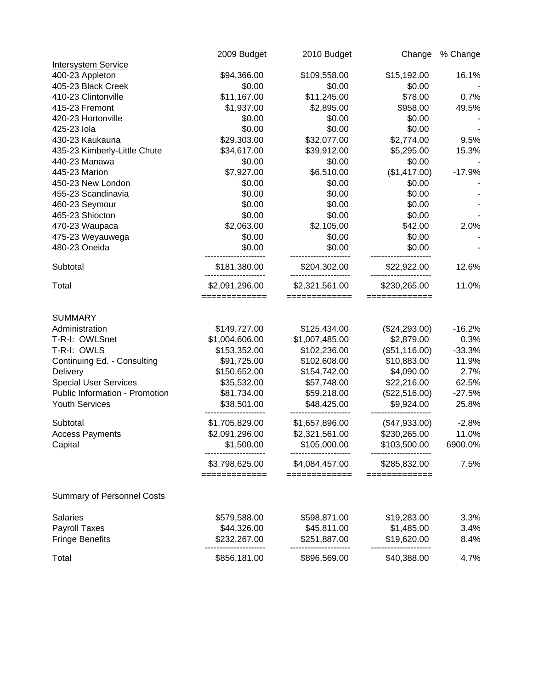|                                                                                                                                                                                                                                                          | 2009 Budget                                                                                                                                                                                                    | 2010 Budget                                                                                                                                                                                                       | Change                                                                                                                                                                                                    | % Change                                                                                                           |
|----------------------------------------------------------------------------------------------------------------------------------------------------------------------------------------------------------------------------------------------------------|----------------------------------------------------------------------------------------------------------------------------------------------------------------------------------------------------------------|-------------------------------------------------------------------------------------------------------------------------------------------------------------------------------------------------------------------|-----------------------------------------------------------------------------------------------------------------------------------------------------------------------------------------------------------|--------------------------------------------------------------------------------------------------------------------|
| <b>Intersystem Service</b>                                                                                                                                                                                                                               |                                                                                                                                                                                                                |                                                                                                                                                                                                                   |                                                                                                                                                                                                           |                                                                                                                    |
| 400-23 Appleton                                                                                                                                                                                                                                          | \$94,366.00                                                                                                                                                                                                    | \$109,558.00                                                                                                                                                                                                      | \$15,192.00                                                                                                                                                                                               | 16.1%                                                                                                              |
| 405-23 Black Creek                                                                                                                                                                                                                                       | \$0.00                                                                                                                                                                                                         | \$0.00                                                                                                                                                                                                            | \$0.00                                                                                                                                                                                                    |                                                                                                                    |
| 410-23 Clintonville                                                                                                                                                                                                                                      | \$11,167.00                                                                                                                                                                                                    | \$11,245.00                                                                                                                                                                                                       | \$78.00                                                                                                                                                                                                   | 0.7%                                                                                                               |
| 415-23 Fremont                                                                                                                                                                                                                                           | \$1,937.00                                                                                                                                                                                                     | \$2,895.00                                                                                                                                                                                                        | \$958.00                                                                                                                                                                                                  | 49.5%                                                                                                              |
| 420-23 Hortonville                                                                                                                                                                                                                                       | \$0.00                                                                                                                                                                                                         | \$0.00                                                                                                                                                                                                            | \$0.00                                                                                                                                                                                                    |                                                                                                                    |
| 425-23 lola                                                                                                                                                                                                                                              | \$0.00                                                                                                                                                                                                         | \$0.00                                                                                                                                                                                                            | \$0.00                                                                                                                                                                                                    |                                                                                                                    |
| 430-23 Kaukauna                                                                                                                                                                                                                                          | \$29,303.00                                                                                                                                                                                                    | \$32,077.00                                                                                                                                                                                                       | \$2,774.00                                                                                                                                                                                                | 9.5%                                                                                                               |
| 435-23 Kimberly-Little Chute                                                                                                                                                                                                                             | \$34,617.00                                                                                                                                                                                                    | \$39,912.00                                                                                                                                                                                                       | \$5,295.00                                                                                                                                                                                                | 15.3%                                                                                                              |
| 440-23 Manawa                                                                                                                                                                                                                                            | \$0.00                                                                                                                                                                                                         | \$0.00                                                                                                                                                                                                            | \$0.00                                                                                                                                                                                                    |                                                                                                                    |
| 445-23 Marion                                                                                                                                                                                                                                            | \$7,927.00                                                                                                                                                                                                     | \$6,510.00                                                                                                                                                                                                        | (\$1,417.00)                                                                                                                                                                                              | $-17.9%$                                                                                                           |
| 450-23 New London                                                                                                                                                                                                                                        | \$0.00                                                                                                                                                                                                         | \$0.00                                                                                                                                                                                                            | \$0.00                                                                                                                                                                                                    |                                                                                                                    |
| 455-23 Scandinavia                                                                                                                                                                                                                                       | \$0.00                                                                                                                                                                                                         | \$0.00                                                                                                                                                                                                            | \$0.00                                                                                                                                                                                                    |                                                                                                                    |
| 460-23 Seymour                                                                                                                                                                                                                                           | \$0.00                                                                                                                                                                                                         | \$0.00                                                                                                                                                                                                            | \$0.00                                                                                                                                                                                                    |                                                                                                                    |
| 465-23 Shiocton                                                                                                                                                                                                                                          | \$0.00                                                                                                                                                                                                         | \$0.00                                                                                                                                                                                                            | \$0.00                                                                                                                                                                                                    |                                                                                                                    |
| 470-23 Waupaca                                                                                                                                                                                                                                           | \$2,063.00                                                                                                                                                                                                     | \$2,105.00                                                                                                                                                                                                        | \$42.00                                                                                                                                                                                                   | 2.0%                                                                                                               |
| 475-23 Weyauwega                                                                                                                                                                                                                                         | \$0.00                                                                                                                                                                                                         | \$0.00                                                                                                                                                                                                            | \$0.00                                                                                                                                                                                                    |                                                                                                                    |
| 480-23 Oneida                                                                                                                                                                                                                                            | \$0.00                                                                                                                                                                                                         | \$0.00                                                                                                                                                                                                            | \$0.00                                                                                                                                                                                                    |                                                                                                                    |
| Subtotal                                                                                                                                                                                                                                                 | \$181,380.00                                                                                                                                                                                                   | \$204,302.00                                                                                                                                                                                                      | \$22,922.00                                                                                                                                                                                               | 12.6%                                                                                                              |
| Total                                                                                                                                                                                                                                                    | \$2,091,296.00<br>=============                                                                                                                                                                                | \$2,321,561.00<br>=============                                                                                                                                                                                   | \$230,265.00<br>=============                                                                                                                                                                             | 11.0%                                                                                                              |
| <b>SUMMARY</b><br>Administration<br>T-R-I: OWLSnet<br>T-R-I: OWLS<br>Continuing Ed. - Consulting<br>Delivery<br><b>Special User Services</b><br>Public Information - Promotion<br><b>Youth Services</b><br>Subtotal<br><b>Access Payments</b><br>Capital | \$149,727.00<br>\$1,004,606.00<br>\$153,352.00<br>\$91,725.00<br>\$150,652.00<br>\$35,532.00<br>\$81,734.00<br>\$38,501.00<br>\$1,705,829.00<br>\$2,091,296.00<br>\$1,500.00<br>\$3,798,625.00<br>------------ | \$125,434.00<br>\$1,007,485.00<br>\$102,236.00<br>\$102,608.00<br>\$154,742.00<br>\$57,748.00<br>\$59,218.00<br>\$48,425.00<br>\$1,657,896.00<br>\$2,321,561.00<br>\$105,000.00<br>\$4,084,457.00<br>------------ | (\$24,293.00)<br>\$2,879.00<br>(\$51,116.00)<br>\$10,883.00<br>\$4,090.00<br>\$22,216.00<br>(\$22,516.00)<br>\$9,924.00<br>(\$47,933.00)<br>\$230,265.00<br>\$103,500.00<br>\$285,832.00<br>------------- | $-16.2%$<br>0.3%<br>$-33.3%$<br>11.9%<br>2.7%<br>62.5%<br>$-27.5%$<br>25.8%<br>$-2.8%$<br>11.0%<br>6900.0%<br>7.5% |
| <b>Summary of Personnel Costs</b>                                                                                                                                                                                                                        |                                                                                                                                                                                                                |                                                                                                                                                                                                                   |                                                                                                                                                                                                           |                                                                                                                    |
| <b>Salaries</b>                                                                                                                                                                                                                                          | \$579,588.00                                                                                                                                                                                                   | \$598,871.00                                                                                                                                                                                                      | \$19,283.00                                                                                                                                                                                               | 3.3%                                                                                                               |
| Payroll Taxes                                                                                                                                                                                                                                            | \$44,326.00                                                                                                                                                                                                    | \$45,811.00                                                                                                                                                                                                       | \$1,485.00                                                                                                                                                                                                | 3.4%                                                                                                               |
| <b>Fringe Benefits</b>                                                                                                                                                                                                                                   | \$232,267.00                                                                                                                                                                                                   | \$251,887.00                                                                                                                                                                                                      | \$19,620.00                                                                                                                                                                                               | 8.4%                                                                                                               |
| Total                                                                                                                                                                                                                                                    | \$856,181.00                                                                                                                                                                                                   | \$896,569.00                                                                                                                                                                                                      | \$40,388.00                                                                                                                                                                                               | 4.7%                                                                                                               |